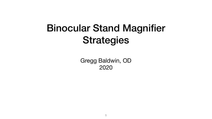## Binocular Stand Magnifier Strategies

Gregg Baldwin, OD 2020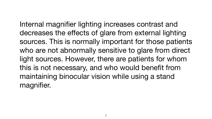Internal magnifier lighting increases contrast and decreases the effects of glare from external lighting sources. This is normally important for those patients who are not abnormally sensitive to glare from direct light sources. However, there are patients for whom this is not necessary, and who would benefit from maintaining binocular vision while using a stand magnifier.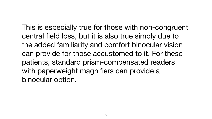This is especially true for those with non-congruent central field loss, but it is also true simply due to the added familiarity and comfort binocular vision can provide for those accustomed to it. For these patients, standard prism-compensated readers with paperweight magnifiers can provide a binocular option.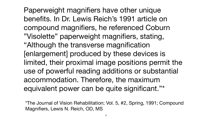Paperweight magnifiers have other unique benefits. In Dr. Lewis Reich's 1991 article on compound magnifiers, he referenced Coburn "Visolette" paperweight magnifiers, stating, "Although the transverse magnification [enlargement] produced by these devices is limited, their proximal image positions permit the use of powerful reading additions or substantial accommodation. Therefore, the maximum equivalent power can be quite significant."\*

\*The Journal of Vision Rehabilitation; Vol. 5, #2, Spring, 1991; Compound Magnifiers, Lewis N. Reich, OD, MS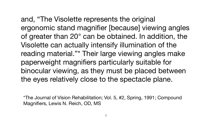\*The Journal of Vision Rehabilitation; Vol. 5, #2, Spring, 1991; Compound Magnifiers, Lewis N. Reich, OD, MS

and, "The Visolette represents the original ergonomic stand magnifier [because] viewing angles of greater than 20° can be obtained. In addition, the Visolette can actually intensify illumination of the reading material."\* Their large viewing angles make paperweight magnifiers particularly suitable for binocular viewing, as they must be placed between the eyes relatively close to the spectacle plane.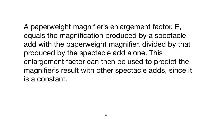A paperweight magnifier's enlargement factor, E, equals the magnification produced by a spectacle add with the paperweight magnifier, divided by that produced by the spectacle add alone. This enlargement factor can then be used to predict the magnifier's result with other spectacle adds, since it is a constant.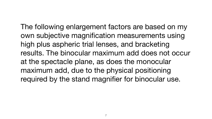The following enlargement factors are based on my own subjective magnification measurements using high plus aspheric trial lenses, and bracketing results. The binocular maximum add does not occur at the spectacle plane, as does the monocular maximum add, due to the physical positioning required by the stand magnifier for binocular use.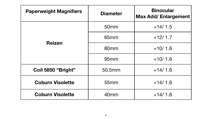| <b>Diameter</b>  | <b>Binocular</b><br><b>Max Add/ Enlargement</b> |  |
|------------------|-------------------------------------------------|--|
| 50 <sub>mm</sub> | $+14/1.5$                                       |  |
| 65 <sub>mm</sub> | $+12/1.7$                                       |  |
| 80 <sub>mm</sub> | $+10/1.6$                                       |  |
| 95 <sub>mm</sub> | $+10/1.6$                                       |  |
| 50.5mm           | $+14/1.6$                                       |  |
| 55mm             | $+14/1.6$                                       |  |
| 40 <sub>mm</sub> | $+14/1.6$                                       |  |

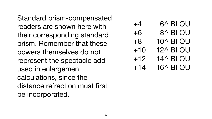Standard prism-compensated readers are shown here with their corresponding standard prism. Remember that these powers themselves do not represent the spectacle add used in enlargement calculations, since the distance refraction must first be incorporated.

+4 6^ BI OU +6 8^ BI OU +8 10^ BI OU +10 12^ BI OU +12 14^ BI OU +14 16^ BI OU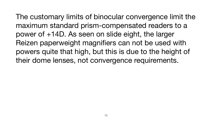The customary limits of binocular convergence limit the maximum standard prism-compensated readers to a power of +14D. As seen on slide eight, the larger Reizen paperweight magnifiers can not be used with powers quite that high, but this is due to the height of their dome lenses, not convergence requirements.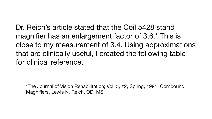Dr. Reich's article stated that the Coil 5428 stand magnifier has an enlargement factor of 3.6.\* This is close to my measurement of 3.4. Using approximations that are clinically useful, I created the following table for clinical reference.

\*The Journal of Vision Rehabilitation; Vol. 5, #2, Spring, 1991; Compound Magnifiers, Lewis N. Reich, OD, MS